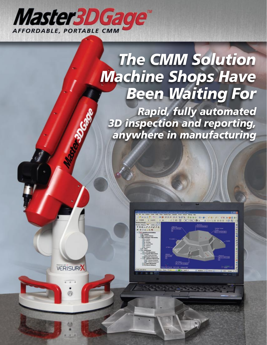

**VERISURA** 

# *The CMM Solution Machine Shops Have Been Waiting For*

*Rapid, fully automated 3D inspection and reporting, anywhere in manufacturing* 

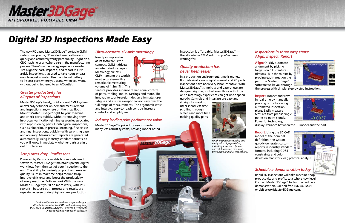

## *Digital 3D Inspections Made Easy*

The new PC-based Master3DGage™ portable CMM system uses precise, 3D model-based software to quickly and accurately verify part quality—right on a CNC machine or anywhere else in the manufacturing process. There's no metrology experience needed. Just align the part, inspect it, and report it. First article inspections that used to take hours or days now take just minutes. Use the internal battery to inspect parts where you want, when you want, without being tethered to an AC outlet.

#### *Greater productivity for all types of inspections*

Master3DGage's handy, quick-mount CMM system allows easy setup for on-demand measurement and inspections anywhere on the shop floor. Mount Master3DGage<sup>™</sup> right to your machine and check parts quickly, without removing them. In-process verification eliminates worries associated with repositioning parts. Finish typical inspections, such as blueprint, in-process, incoming, first article and final inspections, quickly—with surprising ease and accuracy. Measurement reports are generated automatically, using industry standard formats, so you will know immediately whether parts are in or out of tolerance.

inspection is affordable. Master3DGage $M$  the affordable CMM solution you've been waiting for.

#### *Scrap rates drop. Profits soar.*

Powered by Verisurf's world-class, model-based software, Master3DGage™ maintains precise digital workflow, from the start of your inspection to the end. The ability to precisely pinpoint and resolve quality issues in real time helps reduce scrap, improve efficiency and boost the productivity of every machine. Bottom line? With the new Master3D $G$ age<sup> $M$ </sup> you'll do more work, with less rework—because both process and results are repeatable, even during high-volume production.

Master3DGage<sup>™</sup> is priced thousands under many less-robust systems, proving model-based

**VERISUR** 

**Align:** Quickly automate alignment by picking targets on CAD features (datums). Run the routine by probing each target on the part. The Master3DGage<sup>™</sup> software walks you through



#### *Quality production has never been easier*

In a production environment, time is money. But historically, non-digital manual and 2D parts inspections have been very labor intensive. With Master3DGage<sup> $M$ </sup>, simplicity and ease of use are designed right in, so that even those with little or no metrology experience can get up to speed quickly. Controls and interface are easy and

straightforward, so users spend less time scrolling through screens and more time making quality parts.



#### *Ultra-accurate, six-axis metrology*

Nearly as impressive as its software is the compact CMM it drives: an integrated Hexagon Metrology, six-axis CMM—among the world's most accurate—with a remarkable measuring volume of 1.2m (4ft). This



**Master3DGage** 

feature provides superior dimensional control of parts, tooling, molds, castings and more. The innovative counterweight design eliminates user fatigue and assures exceptional accuracy over the full range of measurements. The ergonomic wrist and intuitive, easy-to-reach controls increase comfort and simplify use.

#### *Industry leading price performance value*

*Productivity-minded machine shops seeking an affordable, best-in-class CMM will find everything they need in Master3DGagetm. Powered by Verisurf's industry-leading inspection software.*  *Finish inspections quickly and easily with high precision, including in-process (shown above), blueprint, incoming, first article and final inspections.*

#### *Inspections in three easy steps: Align, Inspect, Report*

the process with simple, step-by-step instructions.

**Inspect:** Inspect and view in real time by manually probing or by following automated inspection plans. Easily measure features from precise single points to point clouds. Powerful technology



displays variance between the 3D model and the part.

**Report:** Using the 3D CAD model as the nominal definition, the system quickly generates custom reports in industry standard formats, including GD&T constraints and color

deviation maps for clear, practical analysis.

#### *Schedule a demonstration today*

Rapid 3D inspections will take machine shop productivity and profits to a whole new level. Contact Master3DGage™ today to schedule a demonstration. Call toll free **866-340-5551** or visit **www.Master3DGage.com.**